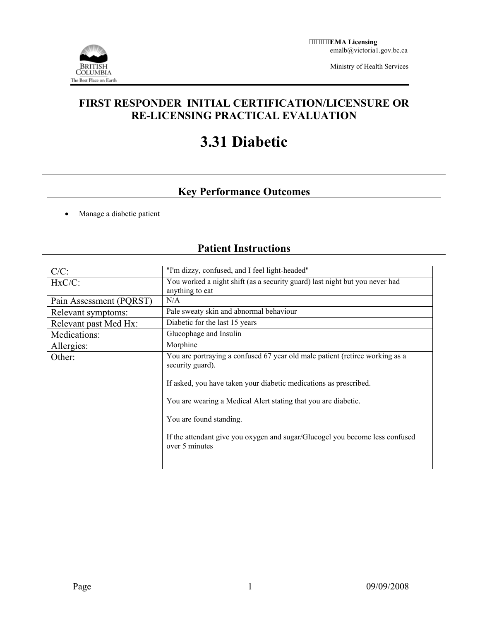

Ministry of Health Services

### **FIRST RESPONDER INITIAL CERTIFICATION/LICENSURE OR RE-LICENSING PRACTICAL EVALUATION**

# **3.31 Diabetic**

## **Key Performance Outcomes**

• Manage a diabetic patient

### **Patient Instructions**

| $C/C$ :                 | "I'm dizzy, confused, and I feel light-headed"                                                   |  |  |  |
|-------------------------|--------------------------------------------------------------------------------------------------|--|--|--|
| $HxC/C$ :               | You worked a night shift (as a security guard) last night but you never had<br>anything to eat   |  |  |  |
| Pain Assessment (PQRST) | N/A                                                                                              |  |  |  |
| Relevant symptoms:      | Pale sweaty skin and abnormal behaviour                                                          |  |  |  |
| Relevant past Med Hx:   | Diabetic for the last 15 years                                                                   |  |  |  |
| Medications:            | Glucophage and Insulin                                                                           |  |  |  |
| Allergies:              | Morphine                                                                                         |  |  |  |
| Other:                  | You are portraying a confused 67 year old male patient (retiree working as a<br>security guard). |  |  |  |
|                         | If asked, you have taken your diabetic medications as prescribed.                                |  |  |  |
|                         | You are wearing a Medical Alert stating that you are diabetic.                                   |  |  |  |
|                         | You are found standing.                                                                          |  |  |  |
|                         | If the attendant give you oxygen and sugar/Glucogel you become less confused<br>over 5 minutes   |  |  |  |
|                         |                                                                                                  |  |  |  |